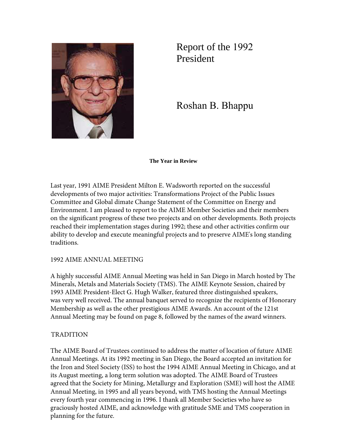

Report of the 1992 President

Roshan B. Bhappu

**The Year in Review** 

Last year, 1991 AIME President Milton E. Wadsworth reported on the successful developments of two major activities: Transformations Project of the Public Issues Committee and Global dimate Change Statement of the Committee on Energy and Environment. I am pleased to report to the AIME Member Societies and their members on the significant progress of these two projects and on other developments. Both projects reached their implementation stages during 1992; these and other activities confirm our ability to develop and execute meaningful projects and to preserve AIME's long standing traditions.

## 1992 AIME ANNUAL MEETING

A highly successful AIME Annual Meeting was held in San Diego in March hosted by The Minerals, Metals and Materials Society (TMS). The AIME Keynote Session, chaired by 1993 AIME President-Elect G. Hugh Walker, featured three distinguished speakers, was very well received. The annual banquet served to recognize the recipients of Honorary Membership as well as the other prestigious AIME Awards. An account of the 121st Annual Meeting may be found on page 8, followed by the names of the award winners.

## TRADITION

The AIME Board of Trustees continued to address the matter of location of future AIME Annual Meetings. At its 1992 meeting in San Diego, the Board accepted an invitation for the Iron and Steel Society (ISS) to host the 1994 AIME Annual Meeting in Chicago, and at its August meeting, a long term solution was adopted. The AIME Board of Trustees agreed that the Society for Mining, Metallurgy and Exploration (SME) will host the AIME Annual Meeting, in 1995 and all years beyond, with TMS hosting the Annual Meetings every fourth year commencing in 1996. I thank all Member Societies who have so graciously hosted AIME, and acknowledge with gratitude SME and TMS cooperation in planning for the future.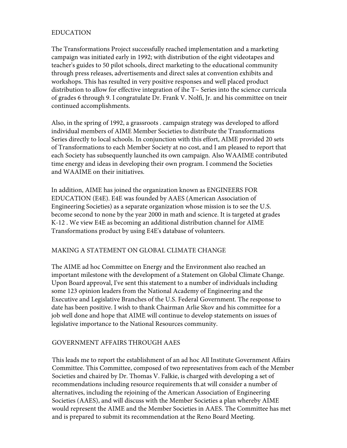# EDUCATION

The Transformations Project successfully reached implementation and a marketing campaign was initiated early in 1992; with distribution of the eight videotapes and teacher's guides to 50 pilot schools, direct marketing to the educational community through press releases, advertisements and direct sales at convention exhibits and workshops. This has resulted in very positive responses and well placed product distribution to allow for effective integration of ihe T~ Series into the science curricula of grades 6 through 9. I congratulate Dr. Frank V. Nolfi, Jr. and his committee on tneir continued accomplishments.

Also, in the spring of 1992, a grassroots . campaign strategy was developed to afford individual members of AIME Member Societies to distribute the Transformations Series directly to local schools. In conjunction with this effort, AIME provided 20 sets of Transformations to each Member Society at no cost, and I am pleased to report that each Society has subsequently launched its own campaign. Also WAAIME contributed time energy and ideas in developing their own program. I commend the Societies and WAAIME on their initiatives.

In addition, AIME has joined the organization known as ENGINEERS FOR EDUCATION (E4E). E4E was founded by AAES (American Association of Engineering Societies) as a separate organization whose mission is to see the U.S. become second to none by the year 2000 in math and science. It is targeted at grades K-12 . We view E4E as becoming an additional distribution channel for AIME Transformations product by using E4E's database of volunteers.

## MAKING A STATEMENT ON GLOBAL CLIMATE CHANGE

The AIME ad hoc Committee on Energy and the Environment also reached an important milestone with the development of a Statement on Global Climate Change. Upon Board approval, I've sent this statement to a number of individuals including some 123 opinion leaders from the National Academy of Engineering and the Executive and Legislative Branches of the U.S. Federal Government. The response to date has been positive. I wish to thank Chairman Arlie Skov and his committee for a job well done and hope that AIME will continue to develop statements on issues of legislative importance to the National Resources community.

#### GOVERNMENT AFFAIRS THROUGH AAES

This leads me to report the establishment of an ad hoc All Institute Government Affairs Committee. This Committee, composed of two representatives from each of the Member Societies and chaired by Dr. Thomas V. Falkie, is charged with developing a set of recommendations including resource requirements th.at will consider a number of alternatives, including the rejoining of the American Association of Engineering Societies (AAES), and will discuss with the Member Societies a plan whereby AIME would represent the AIME and the Member Societies in AAES. The Committee has met and is prepared to submit its recommendation at the Reno Board Meeting.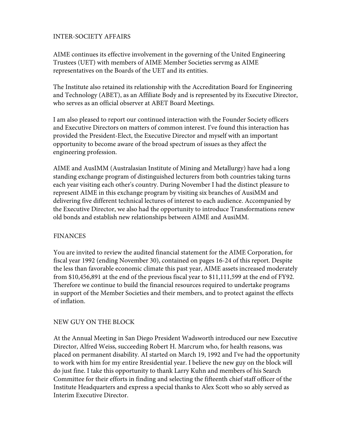### INTER-SOCIETY AFFAIRS

AIME continues its effective involvement in the governing of the United Engineering Trustees (UET) with members of AIME Member Societies servmg as AIME representatives on the Boards of the UET and its entities.

The Institute also retained its relationship with the Accreditation Board for Engineering and Technology (ABET), as an Affiliate Body and is represented by its Executive Director, who serves as an official observer at ABET Board Meetings.

I am also pleased to report our continued interaction with the Founder Society officers and Executive Directors on matters of common interest. I've found this interaction has provided the President-Elect, the Executive Director and myself with an important opportunity to become aware of the broad spectrum of issues as they affect the engineering profession.

AIME and AusIMM (Australasian Institute of Mining and Metallurgy) have had a long standing exchange program of distinguished lecturers from both countries taking turns each year visiting each other's country. During November I had the distinct pleasure to represent AIME in this exchange program by visiting six branches of AusiMM and delivering five different technical lectures of interest to each audience. Accompanied by the Executive Director, we also had the opportunity to introduce Transformations renew old bonds and establish new relationships between AIME and AusiMM.

#### FINANCES

You are invited to review the audited financial statement for the AIME Corporation, for fiscal year 1992 (ending November 30), contained on pages 16-24 of this report. Despite the less than favorable economic climate this past year, AIME assets increased moderately from \$10,456,891 at the end of the previous fiscal year to \$11,111,599 at the end of FY92. Therefore we continue to build the financial resources required to undertake programs in support of the Member Societies and their members, and to protect against the effects of inflation.

## NEW GUY ON THE BLOCK

At the Annual Meeting in San Diego President Wadsworth introduced our new Executive Director, Alfred Weiss, succeeding Robert H. Marcrum who, for health reasons, was placed on permanent disability. AI started on March 19, 1992 and I've had the opportunity to work with him for my entire Rresidential year. I believe the new guy on the block will do just fine. I take this opportunity to thank Larry Kuhn and members of his Search Committee for their efforts in finding and selecting the fifteenth chief staff officer of the Institute Headquarters and express a special thanks to Alex Scott who so ably served as Interim Executive Director.